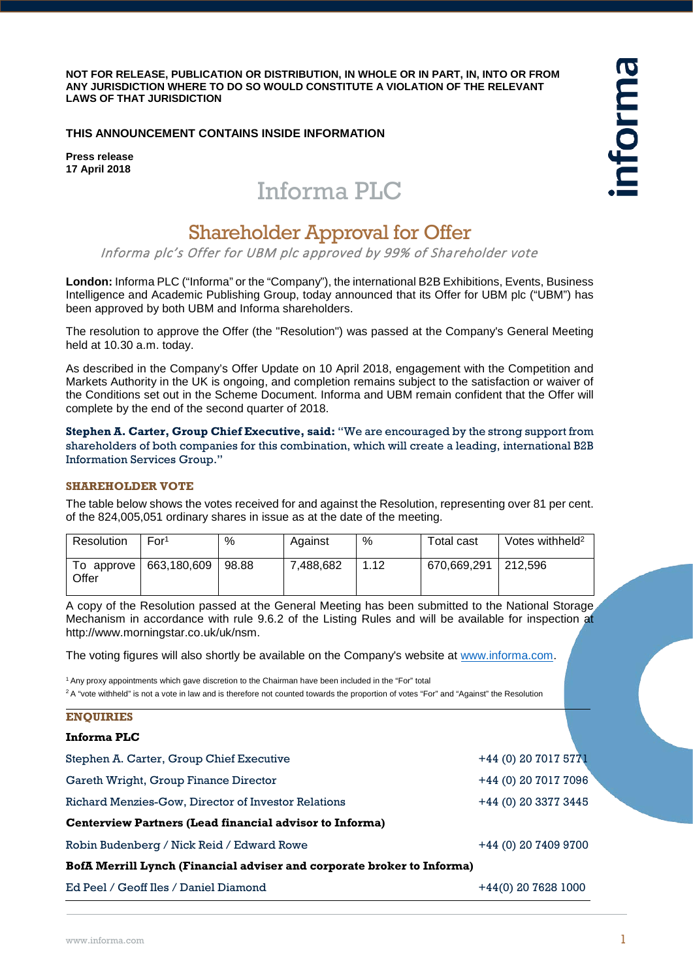**NOT FOR RELEASE, PUBLICATION OR DISTRIBUTION, IN WHOLE OR IN PART, IN, INTO OR FROM ANY JURISDICTION WHERE TO DO SO WOULD CONSTITUTE A VIOLATION OF THE RELEVANT LAWS OF THAT JURISDICTION**

# **THIS ANNOUNCEMENT CONTAINS INSIDE INFORMATION**

**Press release 17 April 2018**

# Informa PLC

# Shareholder Approval for Offer

Informa plc's Offer for UBM plc approved by 99% of Shareholder vote

**London:** Informa PLC ("Informa" or the "Company"), the international B2B Exhibitions, Events, Business Intelligence and Academic Publishing Group, today announced that its Offer for UBM plc ("UBM") has been approved by both UBM and Informa shareholders.

The resolution to approve the Offer (the "Resolution") was passed at the Company's General Meeting held at 10.30 a.m. today.

As described in the Company's Offer Update on 10 April 2018, engagement with the Competition and Markets Authority in the UK is ongoing, and completion remains subject to the satisfaction or waiver of the Conditions set out in the Scheme Document. Informa and UBM remain confident that the Offer will complete by the end of the second quarter of 2018.

**Stephen A. Carter, Group Chief Executive, said:** "We are encouraged by the strong support from shareholders of both companies for this combination, which will create a leading, international B2B Information Services Group."

#### **SHAREHOLDER VOTE**

The table below shows the votes received for and against the Resolution, representing over 81 per cent. of the 824,005,051 ordinary shares in issue as at the date of the meeting.

| <b>Resolution</b> | For <sup>1</sup>       | %     | Against   | %    | Total cast  | Votes withheld <sup>2</sup> |
|-------------------|------------------------|-------|-----------|------|-------------|-----------------------------|
| Offer             | To approve 663,180,609 | 98.88 | 7.488.682 | 1.12 | 670.669.291 | 212.596                     |

A copy of the Resolution passed at the General Meeting has been submitted to the National Storage Mechanism in accordance with rule 9.6.2 of the Listing Rules and will be available for inspection at http://www.morningstar.co.uk/uk/nsm.

The voting figures will also shortly be available on the Company's website at [www.informa.com.](http://www.informa.com/)

1 Any proxy appointments which gave discretion to the Chairman have been included in the "For" total

<sup>2</sup> A "vote withheld" is not a vote in law and is therefore not counted towards the proportion of votes "For" and "Against" the Resolution

| <b>TIMO ATTTP</b>                                                      |                       |
|------------------------------------------------------------------------|-----------------------|
| Informa PLC                                                            |                       |
| Stephen A. Carter, Group Chief Executive                               | +44 (0) 20 7017 5771  |
| Gareth Wright, Group Finance Director                                  | +44 (0) 20 7017 7096  |
| Richard Menzies-Gow, Director of Investor Relations                    | +44 (0) 20 3377 3445  |
| Centerview Partners (Lead financial advisor to Informa)                |                       |
| Robin Budenberg / Nick Reid / Edward Rowe                              | +44 (0) 20 7409 9700  |
| BofA Merrill Lynch (Financial adviser and corporate broker to Informa) |                       |
| Ed Peel / Geoff Iles / Daniel Diamond                                  | $+44(0)$ 20 7628 1000 |

**ENQUIRIES**